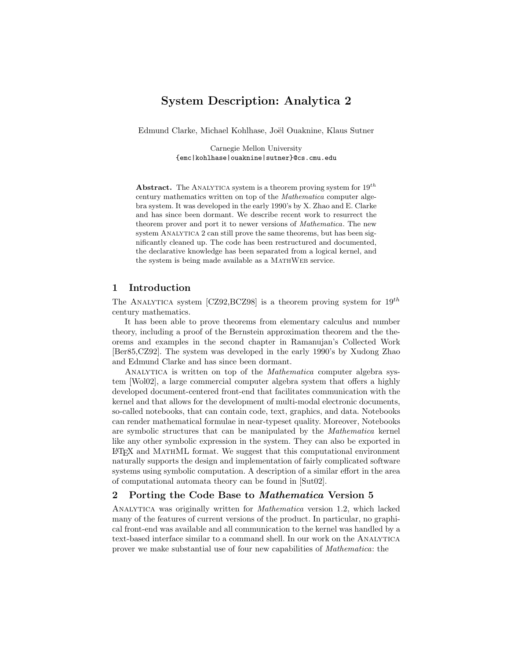# System Description: Analytica 2

Edmund Clarke, Michael Kohlhase, Joël Ouaknine, Klaus Sutner

Carnegie Mellon University {emc|kohlhase|ouaknine|sutner}@cs.cmu.edu

**Abstract.** The ANALYTICA system is a theorem proving system for  $19^{th}$ century mathematics written on top of the Mathematica computer algebra system. It was developed in the early 1990's by X. Zhao and E. Clarke and has since been dormant. We describe recent work to resurrect the theorem prover and port it to newer versions of Mathematica. The new system ANALYTICA 2 can still prove the same theorems, but has been significantly cleaned up. The code has been restructured and documented, the declarative knowledge has been separated from a logical kernel, and the system is being made available as a MATHWEB service.

## 1 Introduction

The ANALYTICA system [CZ92,BCZ98] is a theorem proving system for  $19^{th}$ century mathematics.

It has been able to prove theorems from elementary calculus and number theory, including a proof of the Bernstein approximation theorem and the theorems and examples in the second chapter in Ramanujan's Collected Work [Ber85,CZ92]. The system was developed in the early 1990's by Xudong Zhao and Edmund Clarke and has since been dormant.

ANALYTICA is written on top of the *Mathematica* computer algebra system [Wol02], a large commercial computer algebra system that offers a highly developed document-centered front-end that facilitates communication with the kernel and that allows for the development of multi-modal electronic documents, so-called notebooks, that can contain code, text, graphics, and data. Notebooks can render mathematical formulae in near-typeset quality. Moreover, Notebooks are symbolic structures that can be manipulated by the Mathematica kernel like any other symbolic expression in the system. They can also be exported in LATEX and MathML format. We suggest that this computational environment naturally supports the design and implementation of fairly complicated software systems using symbolic computation. A description of a similar effort in the area of computational automata theory can be found in [Sut02].

## 2 Porting the Code Base to Mathematica Version 5

ANALYTICA was originally written for *Mathematica* version 1.2, which lacked many of the features of current versions of the product. In particular, no graphical front-end was available and all communication to the kernel was handled by a text-based interface similar to a command shell. In our work on the ANALYTICA prover we make substantial use of four new capabilities of Mathematica: the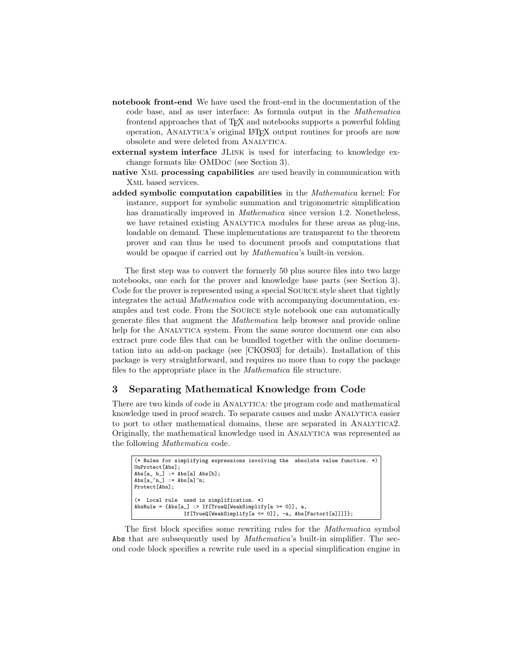- notebook front-end We have used the front-end in the documentation of the code base, and as user interface: As formula output in the Mathematica frontend approaches that of TEX and notebooks supports a powerful folding operation, Analytica's original LATEX output routines for proofs are now obsolete and were deleted from ANALYTICA.
- external system interface JLink is used for interfacing to knowledge exchange formats like OMDoc (see Section 3).
- native Xml processing capabilities are used heavily in communication with Xml based services.
- added symbolic computation capabilities in the Mathematica kernel: For instance, support for symbolic summation and trigonometric simplification has dramatically improved in Mathematica since version 1.2. Nonetheless, we have retained existing ANALYTICA modules for these areas as plug-ins, loadable on demand. These implementations are transparent to the theorem prover and can thus be used to document proofs and computations that would be opaque if carried out by *Mathematica*'s built-in version.

The first step was to convert the formerly 50 plus source files into two large notebooks, one each for the prover and knowledge base parts (see Section 3). Code for the prover is represented using a special Source style sheet that tightly integrates the actual Mathematica code with accompanying documentation, examples and test code. From the Source style notebook one can automatically generate files that augment the Mathematica help browser and provide online help for the ANALYTICA system. From the same source document one can also extract pure code files that can be bundled together with the online documentation into an add-on package (see [CKOS03] for details). Installation of this package is very straightforward, and requires no more than to copy the package files to the appropriate place in the Mathematica file structure.

## 3 Separating Mathematical Knowledge from Code

There are two kinds of code in Analytica: the program code and mathematical knowledge used in proof search. To separate causes and make Analytica easier to port to other mathematical domains, these are separated in Analytica2. Originally, the mathematical knowledge used in Analytica was represented as the following Mathematica code.

```
(* Rules for simplifying expressions involving the absolute value function. *)
UnProtect[Abs];
Abs[a_ b_ ] := Abs[a] Abs[b];Abs[a_^n] := Abs[a]^n;Protect[Abs];
(* Local rule used in simplification. *)
AbsRule = {Abs[a_] :> If[TrueQ[WeakSimplify[a >= 0]], a,
                If[TrueQ[WeakSimplify[a <= 0]], -a, Abs[Factor1[a]]]]};
```
The first block specifies some rewriting rules for the Mathematica symbol Abs that are subsequently used by Mathematica's built-in simplifier. The second code block specifies a rewrite rule used in a special simplification engine in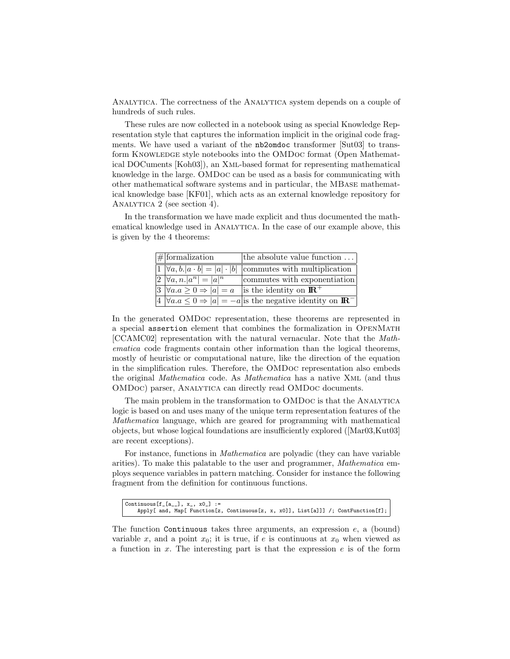Analytica. The correctness of the Analytica system depends on a couple of hundreds of such rules.

These rules are now collected in a notebook using as special Knowledge Representation style that captures the information implicit in the original code fragments. We have used a variant of the nb2omdoc transformer [Sut03] to transform KNOWLEDGE style notebooks into the OMDoc format (Open Mathematical DOCuments [Koh03]), an Xml-based format for representing mathematical knowledge in the large. OMDoc can be used as a basis for communicating with other mathematical software systems and in particular, the MBase mathematical knowledge base [KF01], which acts as an external knowledge repository for ANALYTICA 2 (see section 4).

In the transformation we have made explicit and thus documented the mathematical knowledge used in ANALYTICA. In the case of our example above, this is given by the 4 theorems:

| $#$ formalization                                   | the absolute value function                                                                |
|-----------------------------------------------------|--------------------------------------------------------------------------------------------|
|                                                     | $ 1 \rangle \forall a, b.  a \cdot b  =  a  \cdot  b $ commutes with multiplication        |
| $2 \nvert \forall a, n.  a^n  =  a ^n$              | commutes with exponentiation                                                               |
| $ 3 \rangle \forall a.a \geq 0 \Rightarrow  a  = a$ | is the identity on $\mathbb{R}^+$                                                          |
|                                                     | $ 4 \rangle \forall a.a \leq 0 \Rightarrow  a  = -a$ is the negative identity on <b>IR</b> |

In the generated OMDoc representation, these theorems are represented in a special assertion element that combines the formalization in OpenMath [CCAMC02] representation with the natural vernacular. Note that the Mathematica code fragments contain other information than the logical theorems, mostly of heuristic or computational nature, like the direction of the equation in the simplification rules. Therefore, the OMDoc representation also embeds the original Mathematica code. As Mathematica has a native Xml (and thus OMDoc) parser, Analytica can directly read OMDoc documents.

The main problem in the transformation to OMDOC is that the ANALYTICA logic is based on and uses many of the unique term representation features of the Mathematica language, which are geared for programming with mathematical objects, but whose logical foundations are insufficiently explored ([Mar03,Kut03] are recent exceptions).

For instance, functions in Mathematica are polyadic (they can have variable arities). To make this palatable to the user and programmer, Mathematica employs sequence variables in pattern matching. Consider for instance the following fragment from the definition for continuous functions.

```
Continuous[f_[a__], x_, x0_] :=
Apply[ and, Map[ Function[z, Continuous[z, x, x0]], List[a]]] /; ContFunction[f];
```
The function Continuous takes three arguments, an expression  $e$ , a (bound) variable x, and a point  $x_0$ ; it is true, if e is continuous at  $x_0$  when viewed as a function in  $x$ . The interesting part is that the expression  $e$  is of the form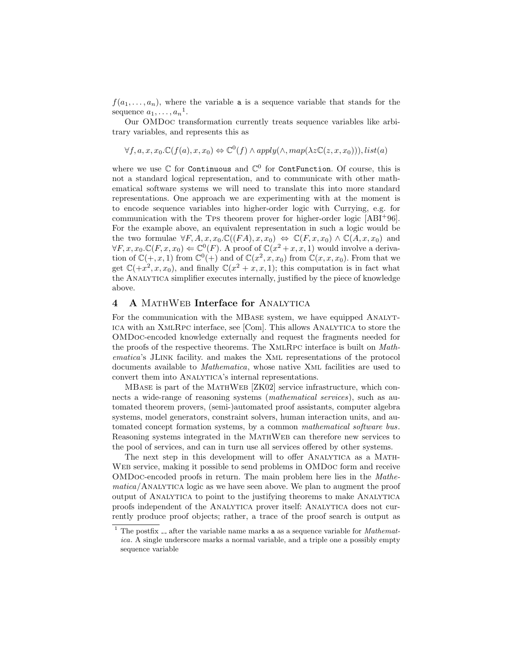$f(a_1, \ldots, a_n)$ , where the variable **a** is a sequence variable that stands for the sequence  $a_1, \ldots, a_n$ <sup>1</sup>.

Our OMDoc transformation currently treats sequence variables like arbitrary variables, and represents this as

$$
\forall f, a, x, x_0 \mathcal{C}(f(a), x, x_0) \Leftrightarrow \mathbb{C}^0(f) \land apply(\land, map(\lambda z \mathbb{C}(z, x, x_0))), list(a)
$$

where we use  $\mathbb C$  for Continuous and  $\mathbb C^0$  for ContFunction. Of course, this is not a standard logical representation, and to communicate with other mathematical software systems we will need to translate this into more standard representations. One approach we are experimenting with at the moment is to encode sequence variables into higher-order logic with Currying, e.g. for communication with the Tps theorem prover for higher-order logic [ABI<sup>+</sup>96]. For the example above, an equivalent representation in such a logic would be the two formulae  $\forall F, A, x, x_0 \mathcal{C}((FA), x, x_0) \Leftrightarrow \mathcal{C}(F, x, x_0) \wedge \mathcal{C}(A, x, x_0)$  and  $\forall F, x, x_0 \in \mathbb{C}(F, x, x_0) \Leftarrow \mathbb{C}^0(F)$ . A proof of  $\mathbb{C}(x^2 + x, x, 1)$  would involve a derivation of  $\mathbb{C}(+,x,1)$  from  $\mathbb{C}^0(+)$  and of  $\mathbb{C}(x^2,x,x_0)$  from  $\mathbb{C}(x,x,x_0)$ . From that we get  $\mathbb{C}(+x^2, x, x_0)$ , and finally  $\mathbb{C}(x^2 + x, x, 1)$ ; this computation is in fact what the Analytica simplifier executes internally, justified by the piece of knowledge above.

### 4 A MATHWEB Interface for ANALYTICA

For the communication with the MBASE system, we have equipped ANALYTica with an XmlRpc interface, see [Com]. This allows Analytica to store the OMDoc-encoded knowledge externally and request the fragments needed for the proofs of the respective theorems. The XmlRpc interface is built on Mathematica's JLink facility. and makes the Xml representations of the protocol documents available to Mathematica, whose native Xml facilities are used to convert them into ANALYTICA's internal representations.

MBase is part of the MathWeb [ZK02] service infrastructure, which connects a wide-range of reasoning systems (*mathematical services*), such as automated theorem provers, (semi-)automated proof assistants, computer algebra systems, model generators, constraint solvers, human interaction units, and automated concept formation systems, by a common mathematical software bus. Reasoning systems integrated in the MathWeb can therefore new services to the pool of services, and can in turn use all services offered by other systems.

The next step in this development will to offer Analytica as a Math-Web service, making it possible to send problems in OMDoc form and receive OMDoc-encoded proofs in return. The main problem here lies in the Mathematica/Analytica logic as we have seen above. We plan to augment the proof output of Analytica to point to the justifying theorems to make Analytica proofs independent of the Analytica prover itself: Analytica does not currently produce proof objects; rather, a trace of the proof search is output as

<sup>&</sup>lt;sup>1</sup> The postfix  $\Box$  after the variable name marks **a** as a sequence variable for *Mathemat*ica. A single underscore marks a normal variable, and a triple one a possibly empty sequence variable